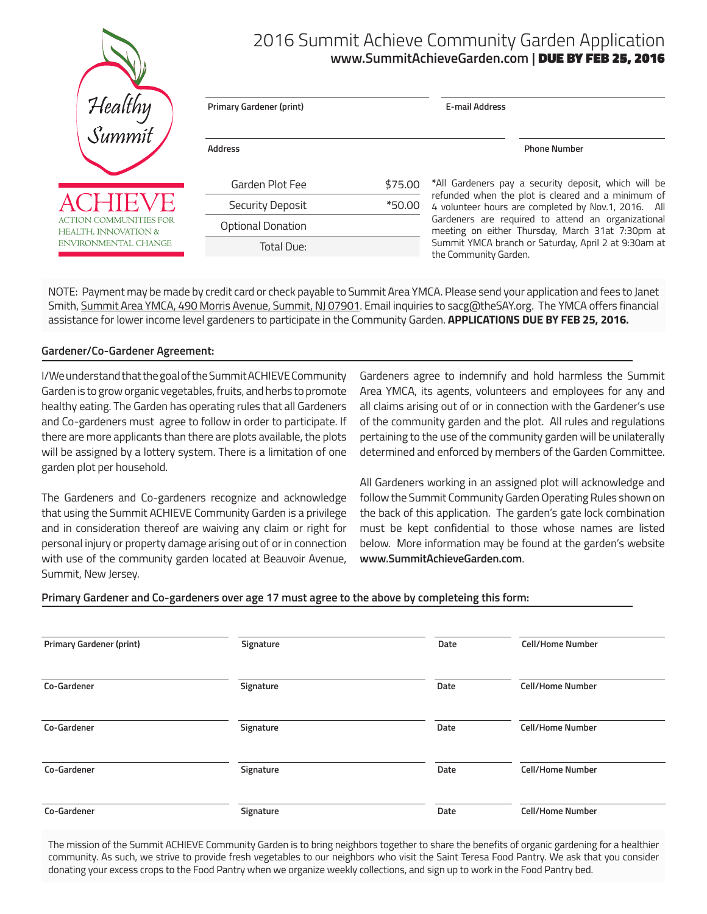|                                                | 2016 Summit Achieve Community Garden Application<br>www.SummitAchieveGarden.com   DUE BY FEB 25, 2016 |         |                                                                                                           |  |
|------------------------------------------------|-------------------------------------------------------------------------------------------------------|---------|-----------------------------------------------------------------------------------------------------------|--|
| Healthy<br>Summit                              | <b>Primary Gardener (print)</b>                                                                       |         | <b>E-mail Address</b>                                                                                     |  |
|                                                | <b>Address</b>                                                                                        |         | <b>Phone Number</b>                                                                                       |  |
|                                                | Garden Plot Fee                                                                                       | \$75.00 | *All Gardeners pay a security deposit, which will be                                                      |  |
| <b>ACHIEVE</b>                                 | Security Deposit                                                                                      | *50.00  | refunded when the plot is cleared and a minimum of<br>4 volunteer hours are completed by Nov.1, 2016. All |  |
| ACTION COMMUNITIES FOR<br>HEALTH, INNOVATION & | <b>Optional Donation</b>                                                                              |         | Gardeners are required to attend an organizational<br>meeting on either Thursday, March 31at 7:30pm at    |  |
| ENVIRONMENTAL CHANGE                           | Total Due:                                                                                            |         | Summit YMCA branch or Saturday, April 2 at 9:30am at<br>the Community Garden.                             |  |

NOTE: Payment may be made by credit card or check payable to Summit Area YMCA. Please send your application and fees to Janet Smith, Summit Area YMCA, 490 Morris Avenue, Summit, NJ 07901. Email inquiries to sacg@theSAY.org. The YMCA offers financial assistance for lower income level gardeners to participate in the Community Garden. **APPLICATIONS DUE BY FEB 25, 2016.**

#### **Gardener/Co-Gardener Agreement:**

I/We understand that the goal of the Summit ACHIEVE Community Garden is to grow organic vegetables, fruits, and herbs to promote healthy eating. The Garden has operating rules that all Gardeners and Co-gardeners must agree to follow in order to participate. If there are more applicants than there are plots available, the plots will be assigned by a lottery system. There is a limitation of one garden plot per household.

The Gardeners and Co-gardeners recognize and acknowledge that using the Summit ACHIEVE Community Garden is a privilege and in consideration thereof are waiving any claim or right for personal injury or property damage arising out of or in connection with use of the community garden located at Beauvoir Avenue, Summit, New Jersey.

Gardeners agree to indemnify and hold harmless the Summit Area YMCA, its agents, volunteers and employees for any and all claims arising out of or in connection with the Gardener's use of the community garden and the plot. All rules and regulations pertaining to the use of the community garden will be unilaterally determined and enforced by members of the Garden Committee.

All Gardeners working in an assigned plot will acknowledge and follow the Summit Community Garden Operating Rules shown on the back of this application. The garden's gate lock combination must be kept confidential to those whose names are listed below. More information may be found at the garden's website **www.SummitAchieveGarden.com**.

#### **Primary Gardener and Co-gardeners over age 17 must agree to the above by completeing this form:**

| <b>Primary Gardener (print)</b> | Signature | Date | <b>Cell/Home Number</b> |  |
|---------------------------------|-----------|------|-------------------------|--|
| Co-Gardener                     | Signature | Date | <b>Cell/Home Number</b> |  |
| Co-Gardener                     | Signature | Date | <b>Cell/Home Number</b> |  |
| Co-Gardener                     | Signature | Date | <b>Cell/Home Number</b> |  |
| Co-Gardener                     | Signature | Date | <b>Cell/Home Number</b> |  |

The mission of the Summit ACHIEVE Community Garden is to bring neighbors together to share the benefits of organic gardening for a healthier community. As such, we strive to provide fresh vegetables to our neighbors who visit the Saint Teresa Food Pantry. We ask that you consider donating your excess crops to the Food Pantry when we organize weekly collections, and sign up to work in the Food Pantry bed.